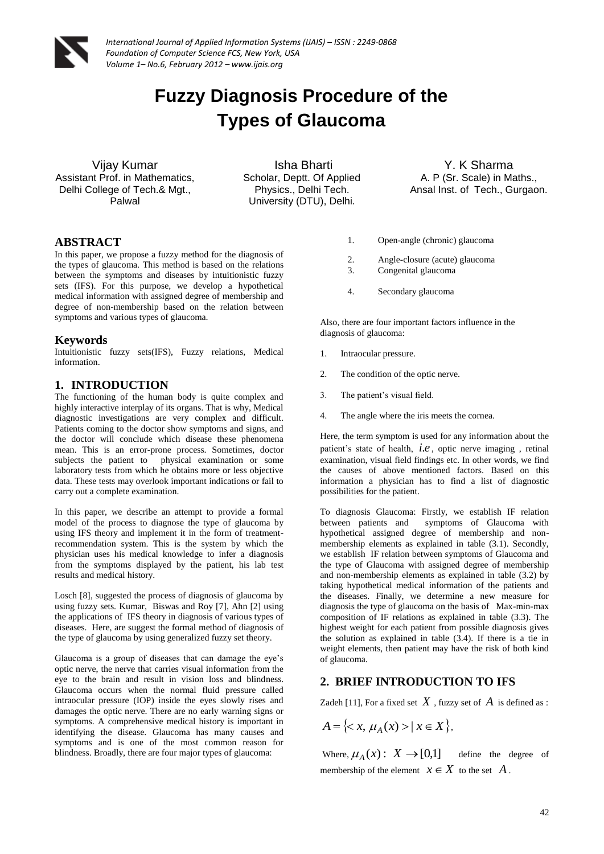

*International Journal of Applied Information Systems (IJAIS) – ISSN : 2249-0868 Foundation of Computer Science FCS, New York, USA Volume 1– No.6, February 2012 – www.ijais.org*

# **Fuzzy Diagnosis Procedure of the Types of Glaucoma**

Vijay Kumar Assistant Prof. in Mathematics, Delhi College of Tech.& Mgt., Palwal

Isha Bharti Scholar, Deptt. Of Applied Physics., Delhi Tech. University (DTU), Delhi.

Y. K Sharma A. P (Sr. Scale) in Maths., Ansal Inst. of Tech., Gurgaon.

## **ABSTRACT**

In this paper, we propose a fuzzy method for the diagnosis of the types of glaucoma. This method is based on the relations between the symptoms and diseases by intuitionistic fuzzy sets (IFS). For this purpose, we develop a hypothetical medical information with assigned degree of membership and degree of non-membership based on the relation between symptoms and various types of glaucoma.

#### **Keywords**

Intuitionistic fuzzy sets(IFS), Fuzzy relations, Medical information.

#### **1. INTRODUCTION**

The functioning of the human body is quite complex and highly interactive interplay of its organs. That is why, Medical diagnostic investigations are very complex and difficult. Patients coming to the doctor show symptoms and signs, and the doctor will conclude which disease these phenomena mean. This is an error-prone process. Sometimes, doctor subjects the patient to physical examination or some laboratory tests from which he obtains more or less objective data. These tests may overlook important indications or fail to carry out a complete examination.

In this paper, we describe an attempt to provide a formal model of the process to diagnose the type of glaucoma by using IFS theory and implement it in the form of treatmentrecommendation system. This is the system by which the physician uses his medical knowledge to infer a diagnosis from the symptoms displayed by the patient, his lab test results and medical history.

Losch [8], suggested the process of diagnosis of glaucoma by using fuzzy sets. Kumar, Biswas and Roy [7], Ahn [2] using the applications of IFS theory in diagnosis of various types of diseases. Here, are suggest the formal method of diagnosis of the type of glaucoma by using generalized fuzzy set theory.

Glaucoma is a group of diseases that can damage the eye's optic nerve, the nerve that carries visual information from the eye to the brain and result in vision loss and blindness. Glaucoma occurs when the normal fluid pressure called intraocular pressure (IOP) inside the eyes slowly rises and damages the optic nerve. There are no early warning signs or symptoms. A comprehensive medical history is important in identifying the disease. Glaucoma has many causes and symptoms and is one of the most common reason for blindness. Broadly, there are four major types of glaucoma:

- 1. Open-angle (chronic) glaucoma
- 2. Angle-closure (acute) glaucoma
- 3. Congenital glaucoma
- 4. Secondary glaucoma

Also, there are four important factors influence in the diagnosis o[f glaucoma:](http://www.healthscout.com/ency/1/139/main.html)

- 1. Intraocular pressure.
- 2. The condition of the optic nerve.
- 3. The patient's visual field.
- 4. The angle where the iris meets the cornea.

Here, the term symptom is used for any information about the patient's state of health, *i*.*e* , optic nerve imaging , retinal examination, [visual field](http://www.ncbi.nlm.nih.gov/pubmedhealth/PMH0004330) findings etc. In other words, we find the causes of above mentioned factors. Based on this information a physician has to find a list of diagnostic possibilities for the patient.

To diagnosis Glaucoma: Firstly, we establish IF relation between patients and symptoms of Glaucoma with hypothetical assigned degree of membership and nonmembership elements as explained in table (3.1). Secondly, we establish IF relation between symptoms of Glaucoma and the type of Glaucoma with assigned degree of membership and non-membership elements as explained in table (3.2) by taking hypothetical medical information of the patients and the diseases. Finally, we determine a new measure for diagnosis the type of glaucoma on the basis of Max-min-max composition of IF relations as explained in table (3.3). The highest weight for each patient from possible diagnosis gives the solution as explained in table  $(3.4)$ . If there is a tie in weight elements, then patient may have the risk of both kind of glaucoma.

## **2. BRIEF INTRODUCTION TO IFS**

Zadeh [11], For a fixed set  $\,X\,$  , fuzzy set of  $\,A\,$  is defined as :

$$
A = \{ < x, \mu_A(x) > | \, x \in X \},
$$

Where,  $\mu_A(x): X \rightarrow [0,1]$ define the degree of membership of the element  $x \in X$  to the set A.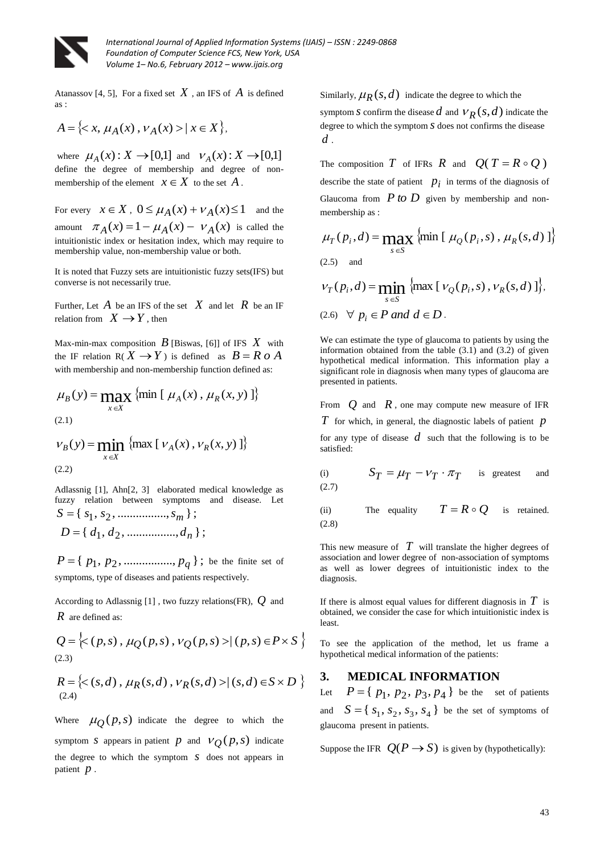

*International Journal of Applied Information Systems (IJAIS) – ISSN : 2249-0868 Foundation of Computer Science FCS, New York, USA Volume 1– No.6, February 2012 – www.ijais.org*

Atanassov [4, 5], For a fixed set  $X$ , an IFS of  $A$  is defined as :

$$
A = \{ \langle x, \mu_A(x), \nu_A(x) \rangle \mid x \in X \},
$$

where  $\mu_A(x)$ :  $X \to [0,1]$  and  $\nu_A(x)$ :  $X \to [0,1]$ define the degree of membership and degree of nonmembership of the element  $x \in X$  to the set  $A$ .

For every  $x \in X$ ,  $0 \le \mu_A(x) + \nu_A(x) \le 1$  and the amount  $\pi_A(x) = 1 - \mu_A(x) - \nu_A(x)$  is called the intuitionistic index or hesitation index, which may require to membership value, non-membership value or both.

It is noted that Fuzzy sets are intuitionistic fuzzy sets(IFS) but converse is not necessarily true.

Further, Let  $A$  be an IFS of the set  $X$  and let  $R$  be an IF relation from  $X \to Y$ , then

Max-min-max composition  $B$  [Biswas, [6]] of IFS  $X$  with the IF relation  $R(X \to Y)$  is defined as  $B = R \circ A$ with membership and non-membership function defined as:

$$
\mu_B(y) = \max_{x \in X} \{ \min \left[ \mu_A(x), \mu_R(x, y) \right] \}
$$
\n(2.1)

$$
v_B(y) = \min_{x \in X} \{ \max [v_A(x), v_R(x, y)] \}
$$
\n(2.2)

Adlassnig [1], Ahn[2, 3] elaborated medical knowledge as fuzzy relation between symptoms and disease. Let  ${S} = \{ s_1, s_2, \dots \dots \dots \dots \dots s_m \};$ 

$$
D = \{ d_1, d_2, \dots, d_n \};
$$

 ${P} = \{ p_1, p_2, \dots, p_q \}$ ; be the finite set of symptoms, type of diseases and patients respectively.

According to Adlassnig [1] , two fuzzy relations(FR), *Q* and *R* are defined as:

$$
Q = \left\{ \langle (p,s), \mu_Q(p,s), \nu_Q(p,s) \rangle | (p,s) \in P \times S \right\}
$$
\n(2.3)

$$
R = \{<(s,d), \mu_R(s,d), \nu_R(s,d) > | (s,d) \in S \times D \}
$$
  
(2.4)

Where  $\mu_Q(p,s)$  indicate the degree to which the symptom *S* appears in patient *p* and  $V_Q(p,s)$  indicate the degree to which the symptom  $S$  does not appears in patient *p* .

Similarly,  $\mu_R(s, d)$  indicate the degree to which the

symptom *S* confirm the disease  $d$  and  $V_R(s, d)$  indicate the degree to which the symptom *s* does not confirms the disease *d* .

The composition  $T$  of IFRs  $R$  and  $Q(T = R \circ Q)$ describe the state of patient  $p_i$  in terms of the diagnosis of Glaucoma from  $P$  *to*  $D$  given by membership and nonmembership as :

$$
\mu_T(p_i, d) = \max_{s \in S} \{ \min \left[ \mu_Q(p_i, s), \mu_R(s, d) \right] \}
$$
\n(2.5) and

$$
v_T(p_i, d) = \min_{s \in S} \{ \max [v_Q(p_i, s), v_R(s, d)] \},
$$
  
(2.6)  $\forall p_i \in P \text{ and } d \in D.$ 

We can estimate the type of glaucoma to patients by using the information obtained from the table (3.1) and (3.2) of given hypothetical medical information. This information play a significant role in diagnosis when many types of glaucoma are presented in patients.

From  $Q$  and  $R$ , one may compute new measure of IFR *T* for which, in general, the diagnostic labels of patient *p* for any type of disease *d* such that the following is to be satisfied:

(i) 
$$
S_T = \mu_T - \nu_T \cdot \pi_T
$$
 is greatest and (2.7)

(ii) The equality 
$$
T = R \circ Q
$$
 is retained.  
(2.8)

This new measure of  $T$  will translate the higher degrees of association and lower degree of non-association of symptoms as well as lower degrees of intuitionistic index to the diagnosis.

If there is almost equal values for different diagnosis in *T* is obtained, we consider the case for which intuitionistic index is least.

To see the application of the method, let us frame a hypothetical medical information of the patients:

### **3. MEDICAL INFORMATION**

Let  $P = \{ p_1, p_2, p_3, p_4 \}$  be the set of patients and  ${S} = \{s_1, s_2, s_3, s_4\}$  be the set of symptoms of glaucoma present in patients.

Suppose the IFR  $Q(P \to S)$  is given by (hypothetically):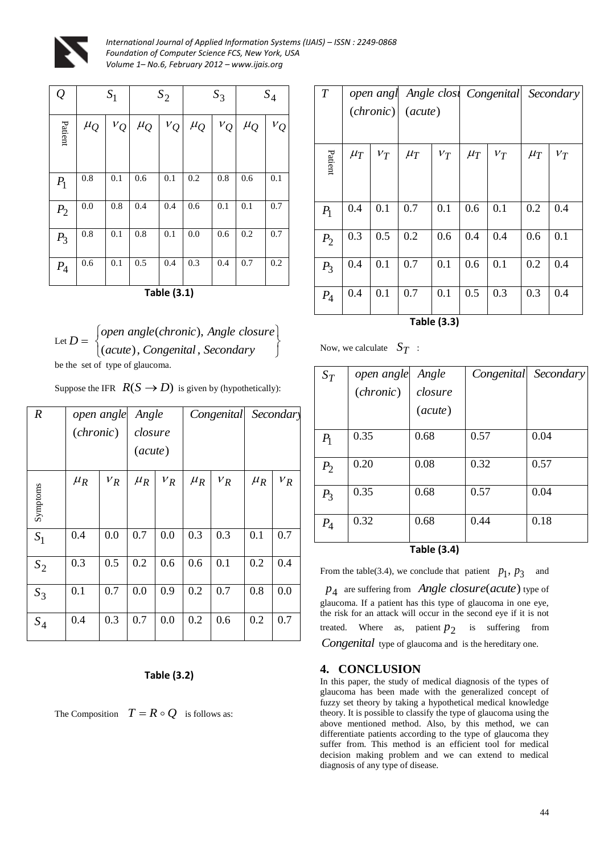

*International Journal of Applied Information Systems (IJAIS) – ISSN : 2249-0868 Foundation of Computer Science FCS, New York, USA Volume 1– No.6, February 2012 – www.ijais.org*

| $\varrho$ | $S_1$   |                  | $S_2$   |       |         | $S_3$             | $S_4$   |       |  |
|-----------|---------|------------------|---------|-------|---------|-------------------|---------|-------|--|
| Patient   | $\mu_Q$ | $v_Q$            | $\mu_Q$ | $v_Q$ | $\mu_Q$ | $v_{\mathcal{Q}}$ | $\mu_Q$ | $V_Q$ |  |
| $P_1$     | 0.8     | 0.1              | 0.6     | 0.1   | 0.2     | 0.8               | 0.6     | 0.1   |  |
| $P_2$     | 0.0     | $\overline{0.8}$ | 0.4     | 0.4   | 0.6     | 0.1               | 0.1     | 0.7   |  |
| $P_3$     | 0.8     | 0.1              | 0.8     | 0.1   | 0.0     | 0.6               | 0.2     | 0.7   |  |
| $P_4$     | 0.6     | 0.1              | 0.5     | 0.4   | 0.3     | 0.4               | 0.7     | 0.2   |  |

|  |  |  |  |  | Suppose the IFR $R(S \to D)$ is given by (hypothetically): |
|--|--|--|--|--|------------------------------------------------------------|
|--|--|--|--|--|------------------------------------------------------------|

|                  | $\mathcal{Q}$  |                                                                                                         | $S_1$            |                    | $S_2$              |           | $S_3$            |           | $S_4$     | $\boldsymbol{T}$ |         | (charonic)                | $(\textit{acute})$                |                               |         | open angl Angle clost Congenital Seco                                                                                                                                                                                                                                                                                                                                                                                                    |                |
|------------------|----------------|---------------------------------------------------------------------------------------------------------|------------------|--------------------|--------------------|-----------|------------------|-----------|-----------|------------------|---------|---------------------------|-----------------------------------|-------------------------------|---------|------------------------------------------------------------------------------------------------------------------------------------------------------------------------------------------------------------------------------------------------------------------------------------------------------------------------------------------------------------------------------------------------------------------------------------------|----------------|
|                  | Patient        | $\mu_{O}$                                                                                               | $v_Q$            | $\mu_{O}$          | $v_Q$              | $\mu_{O}$ | $v_Q$            | $\mu_{Q}$ | $v_Q$     |                  |         |                           |                                   |                               |         |                                                                                                                                                                                                                                                                                                                                                                                                                                          |                |
|                  |                |                                                                                                         |                  |                    |                    |           |                  |           |           | Patient          | $\mu_T$ | $V_T$                     | $\mu_T$                           | $V_T$                         | $\mu_T$ | $V_T$                                                                                                                                                                                                                                                                                                                                                                                                                                    | $\mu_T$        |
|                  | $P_1$          | $0.8\,$                                                                                                 | 0.1              | 0.6                | 0.1                | 0.2       | 0.8              | 0.6       | 0.1       |                  |         |                           |                                   |                               |         |                                                                                                                                                                                                                                                                                                                                                                                                                                          |                |
|                  | P <sub>2</sub> | 0.0                                                                                                     | $\overline{0.8}$ | 0.4                | 0.4                | 0.6       | $\overline{0.1}$ | 0.1       | 0.7       | $P_1$            | 0.4     | 0.1                       | 0.7                               | 0.1                           | 0.6     | 0.1                                                                                                                                                                                                                                                                                                                                                                                                                                      | 0.2            |
|                  | $P_3$          | 0.8                                                                                                     | 0.1              | $0.8\,$            | 0.1                | $0.0\,$   | 0.6              | 0.2       | $0.7\,$   | $P_2$            | 0.3     | 0.5                       | 0.2                               | 0.6                           | 0.4     | 0.4                                                                                                                                                                                                                                                                                                                                                                                                                                      | 0.6            |
|                  | $P_4$          | 0.6                                                                                                     | $\overline{0.1}$ | 0.5                | 0.4                | 0.3       | 0.4              | $0.7\,$   | $0.2\,$   | $P_3$            | 0.4     | 0.1                       | 0.7                               | 0.1                           | 0.6     | 0.1                                                                                                                                                                                                                                                                                                                                                                                                                                      | 0.2            |
|                  |                |                                                                                                         |                  |                    | <b>Table (3.1)</b> |           |                  |           |           | $P_4$            | $0.4\,$ | 0.1                       | 0.7                               | 0.1                           | 0.5     | 0.3                                                                                                                                                                                                                                                                                                                                                                                                                                      | 0.3            |
|                  |                |                                                                                                         |                  |                    |                    |           |                  |           |           |                  |         |                           |                                   | <b>Table (3.3)</b>            |         |                                                                                                                                                                                                                                                                                                                                                                                                                                          |                |
|                  |                | Let $D = \begin{cases} open \ angle(chronic), Angle \ close(acute), Congenital, Secondary) \end{cases}$ |                  |                    |                    |           |                  |           |           |                  |         | Now, we calculate $S_T$ : |                                   |                               |         |                                                                                                                                                                                                                                                                                                                                                                                                                                          |                |
|                  |                | be the set of type of glaucoma.<br>Suppose the IFR $R(S \rightarrow D)$ is given by (hypothetically):   |                  |                    |                    |           |                  |           |           | $S_T$            |         | open angle                |                                   | Angle                         |         | Congenital                                                                                                                                                                                                                                                                                                                                                                                                                               | Sec            |
| $\boldsymbol{R}$ |                | open angle                                                                                              |                  | Angle              |                    |           | Congenital       |           | Secondary |                  |         | ( <i>chronic</i> )        |                                   | closure<br>$(\textit{acute})$ |         |                                                                                                                                                                                                                                                                                                                                                                                                                                          |                |
|                  |                | ( <i>chronic</i> )                                                                                      |                  | closure            |                    |           |                  |           |           | $P_1$            | 0.35    |                           | 0.68                              |                               | 0.57    |                                                                                                                                                                                                                                                                                                                                                                                                                                          | 0.04           |
|                  |                |                                                                                                         |                  | $(\textit{acute})$ |                    |           |                  |           |           |                  |         |                           |                                   |                               |         |                                                                                                                                                                                                                                                                                                                                                                                                                                          |                |
|                  |                | $\mu_R$                                                                                                 | $V_R$            | $\mu_R$            | $V_R$              | $\mu_R$   | $V_R$            | $\mu_R$   | $V_R$     | P <sub>2</sub>   | 0.20    |                           | 0.08                              |                               | 0.32    |                                                                                                                                                                                                                                                                                                                                                                                                                                          | $0.5^{\prime}$ |
| Symptoms         |                |                                                                                                         |                  |                    |                    |           |                  |           |           | $P_3$            | 0.35    |                           | 0.68                              |                               | 0.57    |                                                                                                                                                                                                                                                                                                                                                                                                                                          | 0.04           |
| $S_1$            |                | 0.4                                                                                                     | 0.0              | 0.7                | 0.0                | 0.3       | 0.3              | 0.1       | 0.7       | $P_4$            | 0.32    |                           | 0.68                              |                               | 0.44    |                                                                                                                                                                                                                                                                                                                                                                                                                                          | 0.18           |
| $S_2$            |                | 0.3                                                                                                     | 0.5              | 0.2                | 0.6                | 0.6       | 0.1              | 0.2       | 0.4       |                  |         |                           |                                   | <b>Table (3.4)</b>            |         |                                                                                                                                                                                                                                                                                                                                                                                                                                          |                |
|                  |                | 0.1                                                                                                     | 0.7              | 0.0                | 0.9                | 0.2       | 0.7              | 0.8       | 0.0       |                  |         |                           |                                   |                               |         | From the table(3.4), we conclude that patient $p_1$ , $p_3$<br>$p_4$ are suffering from <i>Angle closure</i> ( <i>acute</i> ) type of                                                                                                                                                                                                                                                                                                    | and            |
| $S_3$            |                |                                                                                                         |                  |                    |                    |           |                  |           |           |                  |         |                           |                                   |                               |         | glaucoma. If a patient has this type of glaucoma in one eye,<br>the risk for an attack will occur in the second eye if it is not                                                                                                                                                                                                                                                                                                         |                |
| $S_4$            |                | 0.4                                                                                                     | 0.3              | 0.7                | 0.0                | 0.2       | 0.6              | 0.2       | 0.7       |                  |         |                           |                                   |                               |         | treated. Where as, patient $p_2$ is suffering from                                                                                                                                                                                                                                                                                                                                                                                       |                |
|                  |                |                                                                                                         |                  |                    |                    |           |                  |           |           |                  |         |                           |                                   |                               |         | <i>Congenital</i> type of glaucoma and is the hereditary one.                                                                                                                                                                                                                                                                                                                                                                            |                |
|                  |                |                                                                                                         |                  |                    | <b>Table (3.2)</b> |           |                  |           |           | 4.               |         | <b>CONCLUSION</b>         |                                   |                               |         | In this paper, the study of medical diagnosis of the types of                                                                                                                                                                                                                                                                                                                                                                            |                |
|                  |                | The Composition $T = R \circ Q$ is follows as:                                                          |                  |                    |                    |           |                  |           |           |                  |         |                           | diagnosis of any type of disease. |                               |         | glaucoma has been made with the generalized concept of<br>fuzzy set theory by taking a hypothetical medical knowledge<br>theory. It is possible to classify the type of glaucoma using the<br>above mentioned method. Also, by this method, we can<br>differentiate patients according to the type of glaucoma they<br>suffer from. This method is an efficient tool for medical<br>decision making problem and we can extend to medical |                |
|                  |                |                                                                                                         |                  |                    |                    |           |                  |           |           |                  |         |                           |                                   |                               |         |                                                                                                                                                                                                                                                                                                                                                                                                                                          |                |
|                  |                |                                                                                                         |                  |                    |                    |           |                  |           |           |                  |         |                           |                                   |                               |         |                                                                                                                                                                                                                                                                                                                                                                                                                                          | 44             |

## **Table (3.2)**

| T       | open angl<br>(chronic) |       | $(\textit{acute})$ |       |         | Angle clost Congenital | Secondary |       |  |
|---------|------------------------|-------|--------------------|-------|---------|------------------------|-----------|-------|--|
| Patient | $\mu_T$                | $V_T$ | $\mu_T$            | $V_T$ | $\mu_T$ | $V_T$                  | $\mu_T$   | $V_T$ |  |
| $P_1$   | 0.4                    | 0.1   | 0.7                | 0.1   | 0.6     | 0.1                    | 0.2       | 0.4   |  |
| $P_2$   | 0.3                    | 0.5   | 0.2                | 0.6   | 0.4     | 0.4                    | 0.6       | 0.1   |  |
| $P_3$   | 0.4                    | 0.1   | 0.7                | 0.1   | 0.6     | 0.1                    | 0.2       | 0.4   |  |
| $P_4$   | 0.4                    | 0.1   | 0.7                | 0.1   | 0.5     | 0.3                    | 0.3       | 0.4   |  |

**Table (3.3)**

Now, we calculate  $S_T$ :

| $S_T$       | open angle | Angle              | Congenital | Secondary |  |  |  |  |  |
|-------------|------------|--------------------|------------|-----------|--|--|--|--|--|
|             | (chronic)  | closure            |            |           |  |  |  |  |  |
|             |            | $(\textit{acute})$ |            |           |  |  |  |  |  |
| $P_1$       | 0.35       | 0.68               | 0.57       | 0.04      |  |  |  |  |  |
| $P_2$       | 0.20       | 0.08               | 0.32       | 0.57      |  |  |  |  |  |
| $P_3$       | 0.35       | 0.68               | 0.57       | 0.04      |  |  |  |  |  |
| $P_4$       | 0.32       | 0.68               | 0.44       | 0.18      |  |  |  |  |  |
| Tahla (3 1) |            |                    |            |           |  |  |  |  |  |

## **4. CONCLUSION**